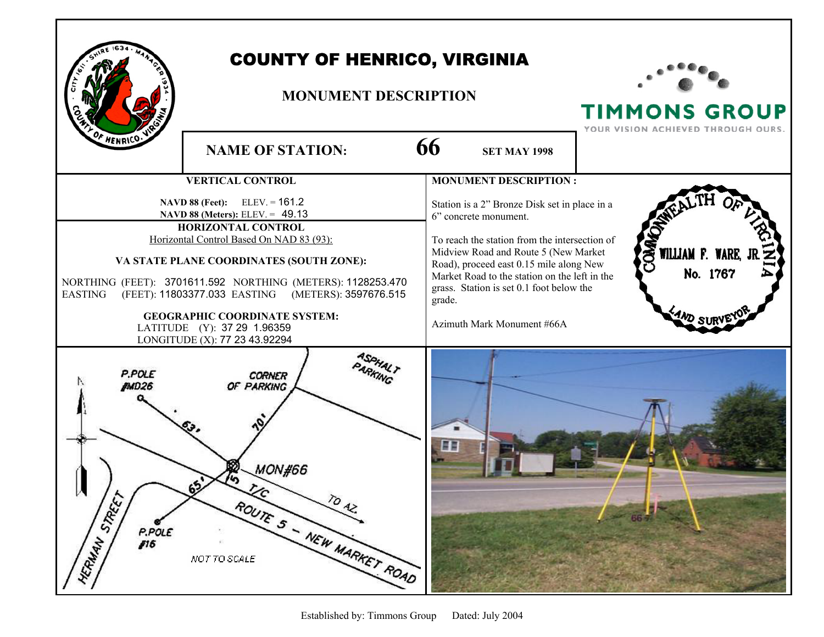